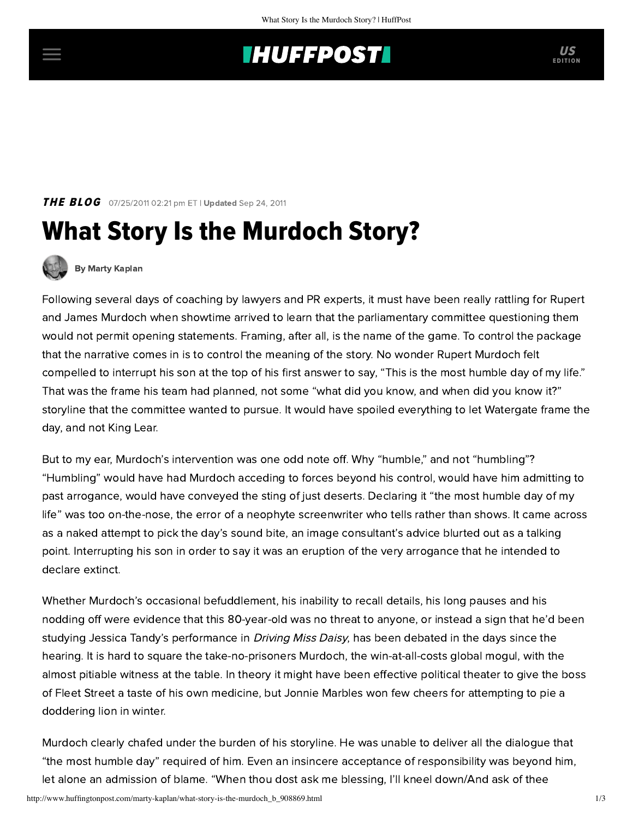## **INUFFPOST**

**THE BLOG** 07/25/2011 02:21 pm ET | Updated Sep 24, 2011

# What Story Is the Murdoch Story?



[By Marty Kaplan](http://www.huffingtonpost.com/author/marty-kaplan)

Following several days of coaching by lawyers and PR experts, it must have been really rattling for Rupert and James Murdoch when showtime arrived to learn that the parliamentary committee questioning them would not permit opening statements. Framing, after all, is the name of the game. To control the package that the narrative comes in is to control the meaning of the story. No wonder Rupert Murdoch felt compelled to interrupt his son at the top of his first answer to say, "This is the most humble day of my life." That was the frame his team had planned, not some "what did you know, and when did you know it?" storyline that the committee wanted to pursue. It would have spoiled everything to let Watergate frame the day, and not King Lear.

But to my ear, Murdoch's intervention was one odd note off. Why "humble," and not "humbling"? "Humbling" would have had Murdoch acceding to forces beyond his control, would have him admitting to past arrogance, would have conveyed the sting of just deserts. Declaring it "the most humble day of my life" was too on-the-nose, the error of a neophyte screenwriter who tells rather than shows. It came across as a naked attempt to pick the day's sound bite, an image consultant's advice blurted out as a talking point. Interrupting his son in order to say it was an eruption of the very arrogance that he intended to declare extinct.

Whether Murdoch's occasional befuddlement, his inability to recall details, his long pauses and his nodding off were evidence that this 80-year-old was no threat to anyone, or instead a sign that he'd been studying Jessica Tandy's performance in *Driving Miss Daisy*, has been debated in the days since the hearing. It is hard to square the take-no-prisoners Murdoch, the win-at-all-costs global mogul, with the almost pitiable witness at the table. In theory it might have been effective political theater to give the boss of Fleet Street a taste of his own medicine, but Jonnie Marbles won few cheers for attempting to pie a doddering lion in winter.

Murdoch clearly chafed under the burden of his storyline. He was unable to deliver all the dialogue that "the most humble day" required of him. Even an insincere acceptance of responsibility was beyond him, let alone an admission of blame. "When thou dost ask me blessing, I'll kneel down/And ask of thee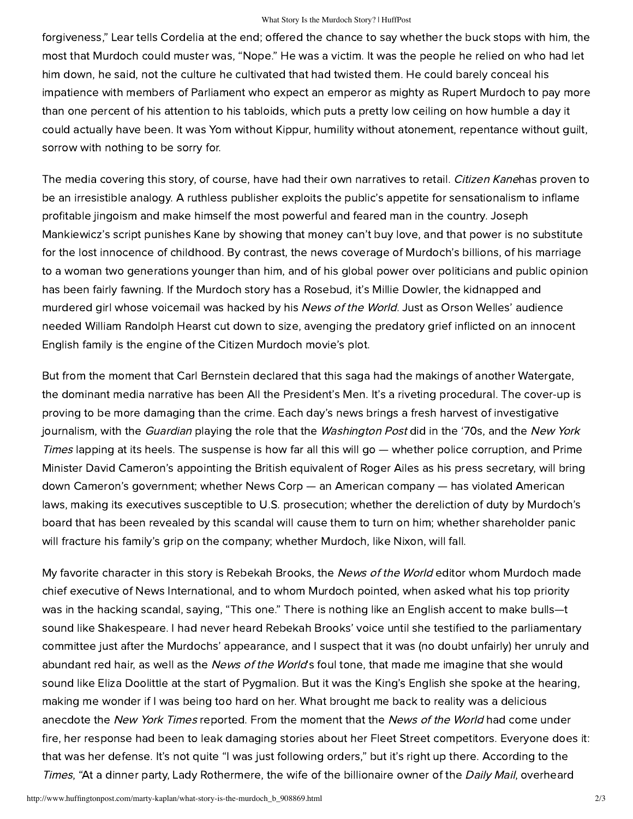#### What Story Is the Murdoch Story? | HuffPost

forgiveness," Lear tells Cordelia at the end; offered the chance to say whether the buck stops with him, the most that Murdoch could muster was, "Nope." He was a victim. It was the people he relied on who had let him down, he said, not the culture he cultivated that had twisted them. He could barely conceal his impatience with members of Parliament who expect an emperor as mighty as Rupert Murdoch to pay more than one percent of his attention to his tabloids, which puts a pretty low ceiling on how humble a day it could actually have been. It was Yom without Kippur, humility without atonement, repentance without guilt, sorrow with nothing to be sorry for.

The media covering this story, of course, have had their own narratives to retail. Citizen Kanehas proven to be an irresistible analogy. A ruthless publisher exploits the public's appetite for sensationalism to inflame profitable jingoism and make himself the most powerful and feared man in the country. Joseph Mankiewicz's script punishes Kane by showing that money can't buy love, and that power is no substitute for the lost innocence of childhood. By contrast, the news coverage of Murdoch's billions, of his marriage to a woman two generations younger than him, and of his global power over politicians and public opinion has been fairly fawning. If the Murdoch story has a Rosebud, it's Millie Dowler, the kidnapped and murdered girl whose voicemail was hacked by his News of the World. Just as Orson Welles' audience needed William Randolph Hearst cut down to size, avenging the predatory grief inflicted on an innocent English family is the engine of the Citizen Murdoch movie's plot.

But from the moment that Carl Bernstein declared that this saga had the makings of another Watergate, the dominant media narrative has been All the President's Men. It's a riveting procedural. The cover-up is proving to be more damaging than the crime. Each day's news brings a fresh harvest of investigative journalism, with the *Guardian* playing the role that the *Washington Post* did in the '70s, and the New York Times lapping at its heels. The suspense is how far all this will go — whether police corruption, and Prime Minister David Cameron's appointing the British equivalent of Roger Ailes as his press secretary, will bring down Cameron's government; whether News Corp — an American company — has violated American laws, making its executives susceptible to U.S. prosecution; whether the dereliction of duty by Murdoch's board that has been revealed by this scandal will cause them to turn on him; whether shareholder panic will fracture his family's grip on the company; whether Murdoch, like Nixon, will fall.

My favorite character in this story is Rebekah Brooks, the News of the World editor whom Murdoch made chief executive of News International, and to whom Murdoch pointed, when asked what his top priority was in the hacking scandal, saying, "This one." There is nothing like an English accent to make bulls—t sound like Shakespeare. I had never heard Rebekah Brooks' voice until she testified to the parliamentary committee just after the Murdochs' appearance, and I suspect that it was (no doubt unfairly) her unruly and abundant red hair, as well as the News of the World's foul tone, that made me imagine that she would sound like Eliza Doolittle at the start of Pygmalion. But it was the King's English she spoke at the hearing, making me wonder if I was being too hard on her. What brought me back to reality was a delicious anecdote the New York Times reported. From the moment that the News of the World had come under fire, her response had been to leak damaging stories about her Fleet Street competitors. Everyone does it: that was her defense. It's not quite "I was just following orders," but it's right up there. According to the Times, "At a dinner party, Lady Rothermere, the wife of the billionaire owner of the Daily Mail, overheard